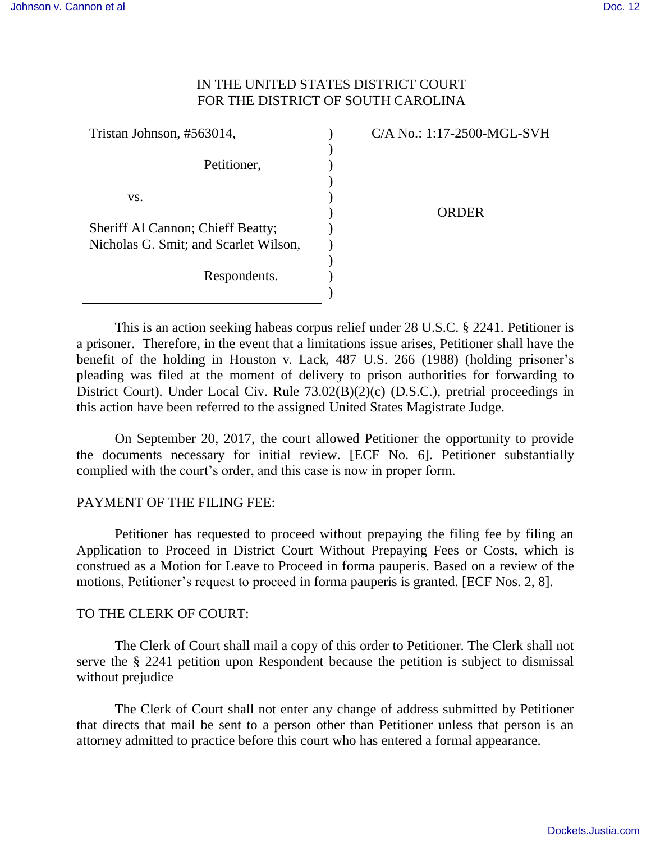## IN THE UNITED STATES DISTRICT COURT FOR THE DISTRICT OF SOUTH CAROLINA

| Tristan Johnson, #563014,             | C/A No.: 1:17-2500-MGL-SVH |
|---------------------------------------|----------------------------|
| Petitioner,                           |                            |
| VS.                                   | <b>ORDER</b>               |
| Sheriff Al Cannon; Chieff Beatty;     |                            |
| Nicholas G. Smit; and Scarlet Wilson, |                            |
|                                       |                            |
| Respondents.                          |                            |
|                                       |                            |

 This is an action seeking habeas corpus relief under 28 U.S.C. § 2241. Petitioner is a prisoner. Therefore, in the event that a limitations issue arises, Petitioner shall have the benefit of the holding in Houston v. Lack, 487 U.S. 266 (1988) (holding prisoner's pleading was filed at the moment of delivery to prison authorities for forwarding to District Court). Under Local Civ. Rule 73.02(B)(2)(c) (D.S.C.), pretrial proceedings in this action have been referred to the assigned United States Magistrate Judge.

On September 20, 2017, the court allowed Petitioner the opportunity to provide the documents necessary for initial review. [ECF No. 6]. Petitioner substantially complied with the court's order, and this case is now in proper form.

## PAYMENT OF THE FILING FEE:

 Petitioner has requested to proceed without prepaying the filing fee by filing an Application to Proceed in District Court Without Prepaying Fees or Costs, which is construed as a Motion for Leave to Proceed in forma pauperis. Based on a review of the motions, Petitioner's request to proceed in forma pauperis is granted. [ECF Nos. 2, 8].

## TO THE CLERK OF COURT:

The Clerk of Court shall mail a copy of this order to Petitioner. The Clerk shall not serve the § 2241 petition upon Respondent because the petition is subject to dismissal without prejudice

 The Clerk of Court shall not enter any change of address submitted by Petitioner that directs that mail be sent to a person other than Petitioner unless that person is an attorney admitted to practice before this court who has entered a formal appearance.